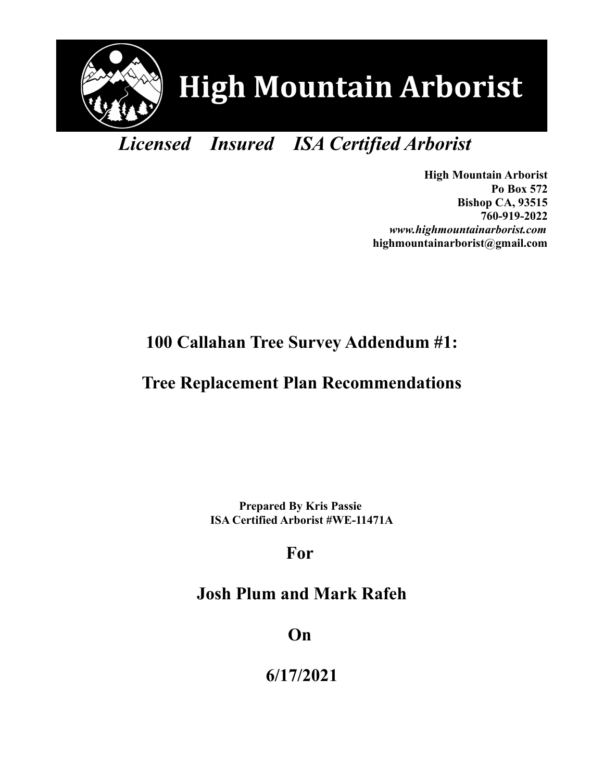

# *Licensed Insured ISA Certified Arborist*

**High Mountain Arborist Po Box 572 Bishop CA, 93515 760-919-2022** *www.highmountainarborist.com* **highmountainarborist@gmail.com**

### **100 Callahan Tree Survey Addendum #1:**

### **Tree Replacement Plan Recommendations**

**Prepared By Kris Passie ISA Certified Arborist #WE-11471A**

# **For**

# **Josh Plum and Mark Rafeh**

**On** 

**6/17/2021**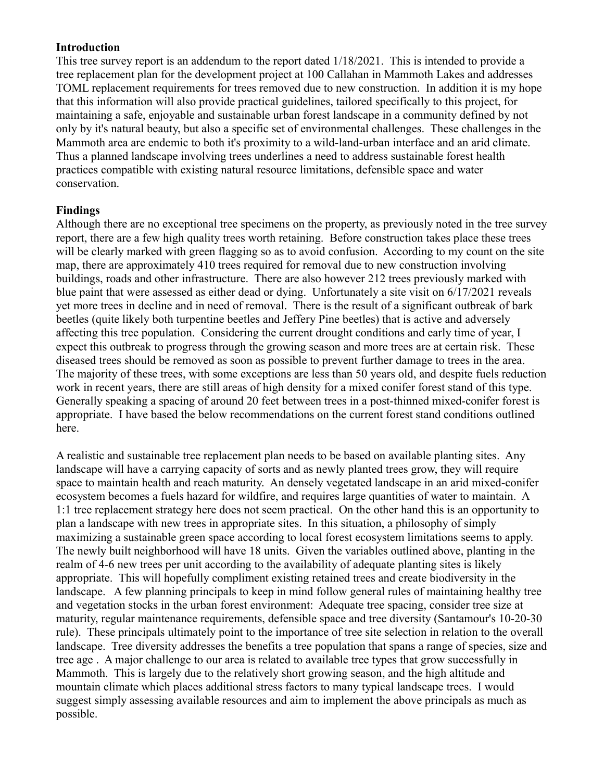#### **Introduction**

This tree survey report is an addendum to the report dated 1/18/2021. This is intended to provide a tree replacement plan for the development project at 100 Callahan in Mammoth Lakes and addresses TOML replacement requirements for trees removed due to new construction. In addition it is my hope that this information will also provide practical guidelines, tailored specifically to this project, for maintaining a safe, enjoyable and sustainable urban forest landscape in a community defined by not only by it's natural beauty, but also a specific set of environmental challenges. These challenges in the Mammoth area are endemic to both it's proximity to a wild-land-urban interface and an arid climate. Thus a planned landscape involving trees underlines a need to address sustainable forest health practices compatible with existing natural resource limitations, defensible space and water conservation.

### **Findings**

Although there are no exceptional tree specimens on the property, as previously noted in the tree survey report, there are a few high quality trees worth retaining. Before construction takes place these trees will be clearly marked with green flagging so as to avoid confusion. According to my count on the site map, there are approximately 410 trees required for removal due to new construction involving buildings, roads and other infrastructure. There are also however 212 trees previously marked with blue paint that were assessed as either dead or dying. Unfortunately a site visit on 6/17/2021 reveals yet more trees in decline and in need of removal. There is the result of a significant outbreak of bark beetles (quite likely both turpentine beetles and Jeffery Pine beetles) that is active and adversely affecting this tree population. Considering the current drought conditions and early time of year, I expect this outbreak to progress through the growing season and more trees are at certain risk. These diseased trees should be removed as soon as possible to prevent further damage to trees in the area. The majority of these trees, with some exceptions are less than 50 years old, and despite fuels reduction work in recent years, there are still areas of high density for a mixed conifer forest stand of this type. Generally speaking a spacing of around 20 feet between trees in a post-thinned mixed-conifer forest is appropriate. I have based the below recommendations on the current forest stand conditions outlined here.

A realistic and sustainable tree replacement plan needs to be based on available planting sites. Any landscape will have a carrying capacity of sorts and as newly planted trees grow, they will require space to maintain health and reach maturity. An densely vegetated landscape in an arid mixed-conifer ecosystem becomes a fuels hazard for wildfire, and requires large quantities of water to maintain. A 1:1 tree replacement strategy here does not seem practical. On the other hand this is an opportunity to plan a landscape with new trees in appropriate sites. In this situation, a philosophy of simply maximizing a sustainable green space according to local forest ecosystem limitations seems to apply. The newly built neighborhood will have 18 units. Given the variables outlined above, planting in the realm of 4-6 new trees per unit according to the availability of adequate planting sites is likely appropriate. This will hopefully compliment existing retained trees and create biodiversity in the landscape. A few planning principals to keep in mind follow general rules of maintaining healthy tree and vegetation stocks in the urban forest environment: Adequate tree spacing, consider tree size at maturity, regular maintenance requirements, defensible space and tree diversity (Santamour's 10-20-30 rule). These principals ultimately point to the importance of tree site selection in relation to the overall landscape. Tree diversity addresses the benefits a tree population that spans a range of species, size and tree age . A major challenge to our area is related to available tree types that grow successfully in Mammoth. This is largely due to the relatively short growing season, and the high altitude and mountain climate which places additional stress factors to many typical landscape trees. I would suggest simply assessing available resources and aim to implement the above principals as much as possible.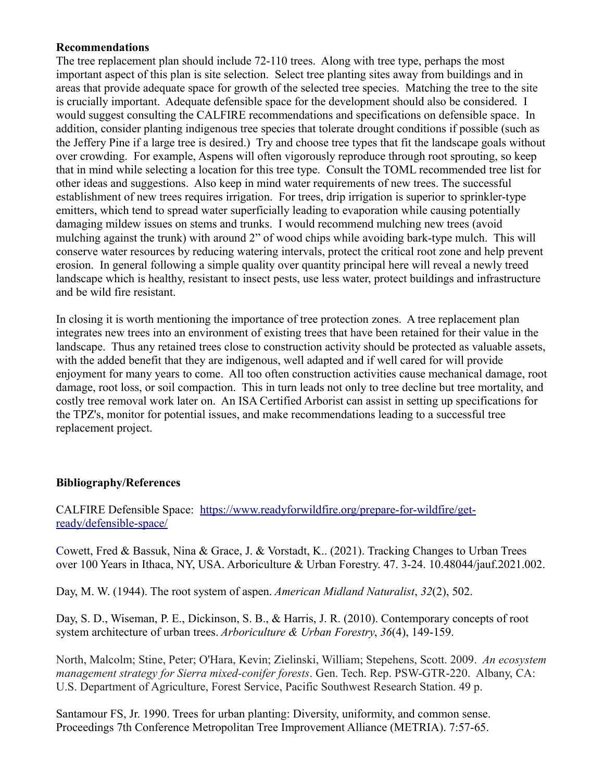#### **Recommendations**

The tree replacement plan should include 72-110 trees. Along with tree type, perhaps the most important aspect of this plan is site selection. Select tree planting sites away from buildings and in areas that provide adequate space for growth of the selected tree species. Matching the tree to the site is crucially important. Adequate defensible space for the development should also be considered. I would suggest consulting the CALFIRE recommendations and specifications on defensible space. In addition, consider planting indigenous tree species that tolerate drought conditions if possible (such as the Jeffery Pine if a large tree is desired.) Try and choose tree types that fit the landscape goals without over crowding. For example, Aspens will often vigorously reproduce through root sprouting, so keep that in mind while selecting a location for this tree type. Consult the TOML recommended tree list for other ideas and suggestions. Also keep in mind water requirements of new trees. The successful establishment of new trees requires irrigation. For trees, drip irrigation is superior to sprinkler-type emitters, which tend to spread water superficially leading to evaporation while causing potentially damaging mildew issues on stems and trunks. I would recommend mulching new trees (avoid mulching against the trunk) with around 2" of wood chips while avoiding bark-type mulch. This will conserve water resources by reducing watering intervals, protect the critical root zone and help prevent erosion. In general following a simple quality over quantity principal here will reveal a newly treed landscape which is healthy, resistant to insect pests, use less water, protect buildings and infrastructure and be wild fire resistant.

In closing it is worth mentioning the importance of tree protection zones. A tree replacement plan integrates new trees into an environment of existing trees that have been retained for their value in the landscape. Thus any retained trees close to construction activity should be protected as valuable assets, with the added benefit that they are indigenous, well adapted and if well cared for will provide enjoyment for many years to come. All too often construction activities cause mechanical damage, root damage, root loss, or soil compaction. This in turn leads not only to tree decline but tree mortality, and costly tree removal work later on. An ISA Certified Arborist can assist in setting up specifications for the TPZ's, monitor for potential issues, and make recommendations leading to a successful tree replacement project.

### **Bibliography/References**

CALFIRE Defensible Space: [https://www.readyforwildfire.org/prepare-for-wildfire/get](https://www.readyforwildfire.org/prepare-for-wildfire/get-ready/defensible-space/)[ready/defensible-space/](https://www.readyforwildfire.org/prepare-for-wildfire/get-ready/defensible-space/)

Cowett, Fred & Bassuk, Nina & Grace, J. & Vorstadt, K.. (2021). Tracking Changes to Urban Trees over 100 Years in Ithaca, NY, USA. Arboriculture & Urban Forestry. 47. 3-24. 10.48044/jauf.2021.002.

Day, M. W. (1944). The root system of aspen. *American Midland Naturalist*, *32*(2), 502.

Day, S. D., Wiseman, P. E., Dickinson, S. B., & Harris, J. R. (2010). Contemporary concepts of root system architecture of urban trees. *Arboriculture & Urban Forestry*, *36*(4), 149-159.

North, Malcolm; Stine, Peter; O'Hara, Kevin; Zielinski, William; Stepehens, Scott. 2009. *An ecosystem management strategy for Sierra mixed-conifer forests*. Gen. Tech. Rep. PSW-GTR-220. Albany, CA: U.S. Department of Agriculture, Forest Service, Pacific Southwest Research Station. 49 p.

Santamour FS, Jr. 1990. Trees for urban planting: Diversity, uniformity, and common sense. Proceedings 7th Conference Metropolitan Tree Improvement Alliance (METRIA). 7:57-65.